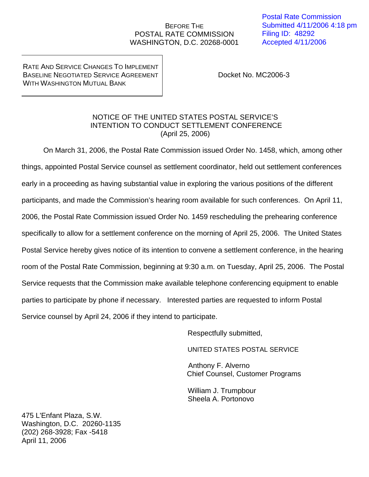## BEFORE THE POSTAL RATE COMMISSION WASHINGTON, D.C. 20268-0001

RATE AND SERVICE CHANGES TO IMPLEMENT BASELINE NEGOTIATED SERVICE AGREEMENT WITH WASHINGTON MUTUAL BANK

Docket No. MC2006-3

## NOTICE OF THE UNITED STATES POSTAL SERVICE'S INTENTION TO CONDUCT SETTLEMENT CONFERENCE (April 25, 2006)

On March 31, 2006, the Postal Rate Commission issued Order No. 1458, which, among other things, appointed Postal Service counsel as settlement coordinator, held out settlement conferences early in a proceeding as having substantial value in exploring the various positions of the different participants, and made the Commission's hearing room available for such conferences. On April 11, 2006, the Postal Rate Commission issued Order No. 1459 rescheduling the prehearing conference specifically to allow for a settlement conference on the morning of April 25, 2006. The United States Postal Service hereby gives notice of its intention to convene a settlement conference, in the hearing room of the Postal Rate Commission, beginning at 9:30 a.m. on Tuesday, April 25, 2006. The Postal Service requests that the Commission make available telephone conferencing equipment to enable parties to participate by phone if necessary. Interested parties are requested to inform Postal Service counsel by April 24, 2006 if they intend to participate.

Respectfully submitted,

UNITED STATES POSTAL SERVICE

 Anthony F. Alverno Chief Counsel, Customer Programs

 William J. Trumpbour Sheela A. Portonovo

475 L'Enfant Plaza, S.W. Washington, D.C. 20260-1135 (202) 268-3928; Fax -5418 April 11, 2006